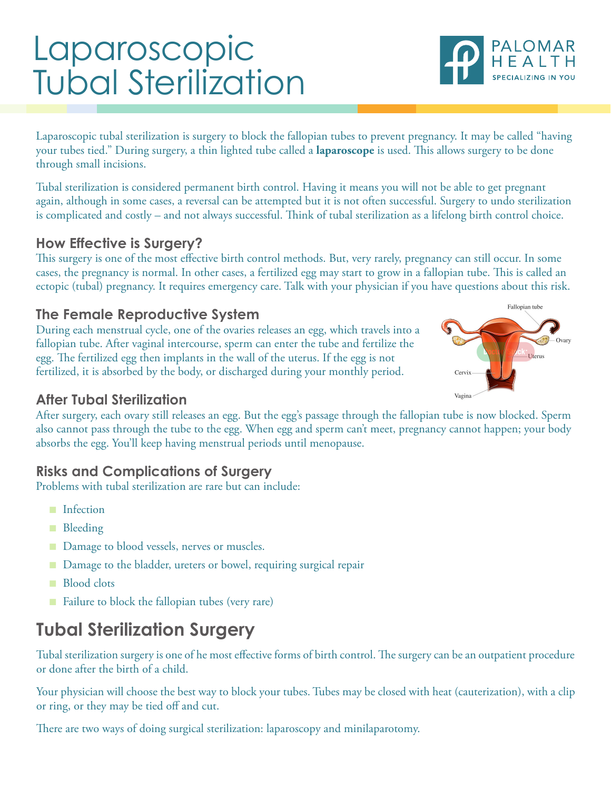# Laparoscopic Tubal Sterilization

Laparoscopic tubal sterilization is surgery to block the fallopian tubes to prevent pregnancy. It may be called "having your tubes tied." During surgery, a thin lighted tube called a **laparoscope** is used. This allows surgery to be done through small incisions.

Tubal sterilization is considered permanent birth control. Having it means you will not be able to get pregnant again, although in some cases, a reversal can be attempted but it is not often successful. Surgery to undo sterilization is complicated and costly – and not always successful. Think of tubal sterilization as a lifelong birth control choice.

### **How Effective is Surgery?**

This surgery is one of the most effective birth control methods. But, very rarely, pregnancy can still occur. In some cases, the pregnancy is normal. In other cases, a fertilized egg may start to grow in a fallopian tube. This is called an ectopic (tubal) pregnancy. It requires emergency care. Talk with your physician if you have questions about this risk.

### **The Female Reproductive System**

During each menstrual cycle, one of the ovaries releases an egg, which travels into a fallopian tube. After vaginal intercourse, sperm can enter the tube and fertilize the egg. The fertilized egg then implants in the wall of the uterus. If the egg is not fertilized, it is absorbed by the body, or discharged during your monthly period.

### **After Tubal Sterilization**

After surgery, each ovary still releases an egg. But the egg's passage through the fallopian tube is now blocked. Sperm also cannot pass through the tube to the egg. When egg and sperm can't meet, pregnancy cannot happen; your body absorbs the egg. You'll keep having menstrual periods until menopause.

### **Risks and Complications of Surgery**

Problems with tubal sterilization are rare but can include:

- Infection
- Bleeding
- Damage to blood vessels, nerves or muscles.
- Damage to the bladder, ureters or bowel, requiring surgical repair
- Blood clots
- Failure to block the fallopian tubes (very rare)

### **Tubal Sterilization Surgery**

Tubal sterilization surgery is one of he most effective forms of birth control. The surgery can be an outpatient procedure or done after the birth of a child.

Your physician will choose the best way to block your tubes. Tubes may be closed with heat (cauterization), with a clip or ring, or they may be tied off and cut.

There are two ways of doing surgical sterilization: laparoscopy and minilaparotomy.